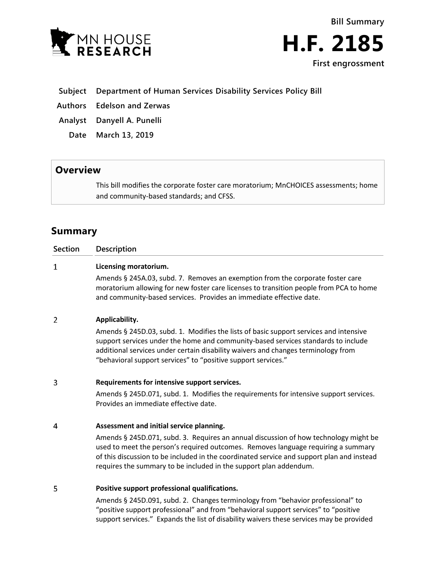



# **Subject Department of Human Services Disability Services Policy Bill**

**Authors Edelson and Zerwas**

**Analyst Danyell A. Punelli**

**Date March 13, 2019**

# **Overview**

This bill modifies the corporate foster care moratorium; MnCHOICES assessments; home and community-based standards; and CFSS.

# **Summary**

# **Section Description**  $\mathbf{1}$ **Licensing moratorium.**

Amends § 245A.03, subd. 7. Removes an exemption from the corporate foster care moratorium allowing for new foster care licenses to transition people from PCA to home and community-based services. Provides an immediate effective date.

# $\overline{2}$ **Applicability.**

Amends § 245D.03, subd. 1. Modifies the lists of basic support services and intensive support services under the home and community-based services standards to include additional services under certain disability waivers and changes terminology from "behavioral support services" to "positive support services."

# 3 **Requirements for intensive support services.**

Amends § 245D.071, subd. 1. Modifies the requirements for intensive support services. Provides an immediate effective date.

# $\overline{4}$ **Assessment and initial service planning.**

Amends § 245D.071, subd. 3. Requires an annual discussion of how technology might be used to meet the person's required outcomes. Removes language requiring a summary of this discussion to be included in the coordinated service and support plan and instead requires the summary to be included in the support plan addendum.

# 5 **Positive support professional qualifications.**

Amends § 245D.091, subd. 2. Changes terminology from "behavior professional" to "positive support professional" and from "behavioral support services" to "positive support services." Expands the list of disability waivers these services may be provided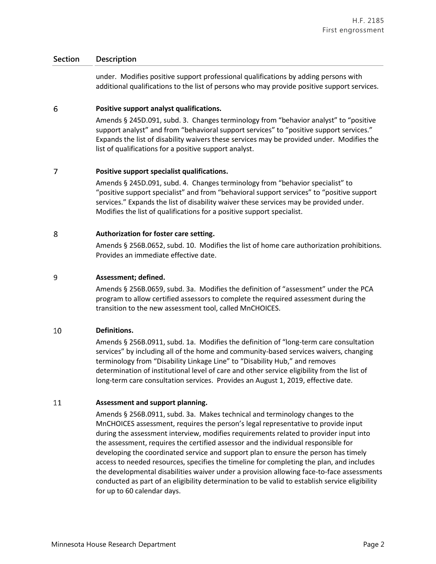under. Modifies positive support professional qualifications by adding persons with additional qualifications to the list of persons who may provide positive support services.

### 6 **Positive support analyst qualifications.**

Amends § 245D.091, subd. 3. Changes terminology from "behavior analyst" to "positive support analyst" and from "behavioral support services" to "positive support services." Expands the list of disability waivers these services may be provided under. Modifies the list of qualifications for a positive support analyst.

### $\overline{7}$ **Positive support specialist qualifications.**

Amends § 245D.091, subd. 4. Changes terminology from "behavior specialist" to "positive support specialist" and from "behavioral support services" to "positive support services." Expands the list of disability waiver these services may be provided under. Modifies the list of qualifications for a positive support specialist.

### 8 **Authorization for foster care setting.**

Amends § 256B.0652, subd. 10. Modifies the list of home care authorization prohibitions. Provides an immediate effective date.

### 9 **Assessment; defined.**

Amends § 256B.0659, subd. 3a. Modifies the definition of "assessment" under the PCA program to allow certified assessors to complete the required assessment during the transition to the new assessment tool, called MnCHOICES.

# 10 **Definitions.**

Amends § 256B.0911, subd. 1a. Modifies the definition of "long-term care consultation services" by including all of the home and community-based services waivers, changing terminology from "Disability Linkage Line" to "Disability Hub," and removes determination of institutional level of care and other service eligibility from the list of long-term care consultation services. Provides an August 1, 2019, effective date.

#### 11 **Assessment and support planning.**

Amends § 256B.0911, subd. 3a. Makes technical and terminology changes to the MnCHOICES assessment, requires the person's legal representative to provide input during the assessment interview, modifies requirements related to provider input into the assessment, requires the certified assessor and the individual responsible for developing the coordinated service and support plan to ensure the person has timely access to needed resources, specifies the timeline for completing the plan, and includes the developmental disabilities waiver under a provision allowing face-to-face assessments conducted as part of an eligibility determination to be valid to establish service eligibility for up to 60 calendar days.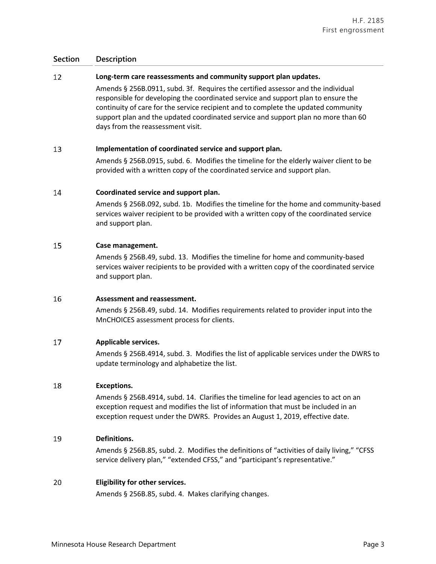# 12 **Long-term care reassessments and community support plan updates.**

Amends § 256B.0911, subd. 3f. Requires the certified assessor and the individual responsible for developing the coordinated service and support plan to ensure the continuity of care for the service recipient and to complete the updated community support plan and the updated coordinated service and support plan no more than 60 days from the reassessment visit.

### 13 **Implementation of coordinated service and support plan.**

Amends § 256B.0915, subd. 6. Modifies the timeline for the elderly waiver client to be provided with a written copy of the coordinated service and support plan.

### 14 **Coordinated service and support plan.**

Amends § 256B.092, subd. 1b. Modifies the timeline for the home and community-based services waiver recipient to be provided with a written copy of the coordinated service and support plan.

# 15 **Case management.**

Amends § 256B.49, subd. 13. Modifies the timeline for home and community-based services waiver recipients to be provided with a written copy of the coordinated service and support plan.

#### 16 **Assessment and reassessment.**

Amends § 256B.49, subd. 14. Modifies requirements related to provider input into the MnCHOICES assessment process for clients.

#### 17 **Applicable services.**

Amends § 256B.4914, subd. 3. Modifies the list of applicable services under the DWRS to update terminology and alphabetize the list.

# 18 **Exceptions.**

Amends § 256B.4914, subd. 14. Clarifies the timeline for lead agencies to act on an exception request and modifies the list of information that must be included in an exception request under the DWRS. Provides an August 1, 2019, effective date.

# 19 **Definitions.**

Amends § 256B.85, subd. 2. Modifies the definitions of "activities of daily living," "CFSS service delivery plan," "extended CFSS," and "participant's representative."

# 20 **Eligibility for other services.**

Amends § 256B.85, subd. 4. Makes clarifying changes.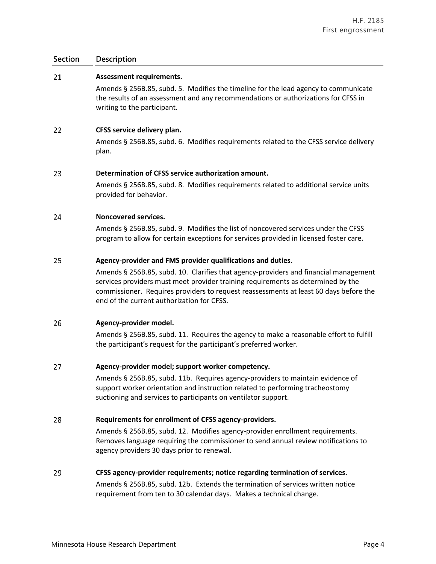#### 21 **Assessment requirements.**

Amends § 256B.85, subd. 5. Modifies the timeline for the lead agency to communicate the results of an assessment and any recommendations or authorizations for CFSS in writing to the participant.

#### 22 **CFSS service delivery plan.**

Amends § 256B.85, subd. 6. Modifies requirements related to the CFSS service delivery plan.

### 23 **Determination of CFSS service authorization amount.**

Amends § 256B.85, subd. 8. Modifies requirements related to additional service units provided for behavior.

### 24 **Noncovered services.**

Amends § 256B.85, subd. 9. Modifies the list of noncovered services under the CFSS program to allow for certain exceptions for services provided in licensed foster care.

### 25 **Agency-provider and FMS provider qualifications and duties.**

Amends § 256B.85, subd. 10. Clarifies that agency-providers and financial management services providers must meet provider training requirements as determined by the commissioner. Requires providers to request reassessments at least 60 days before the end of the current authorization for CFSS.

# 26 **Agency-provider model.**

Amends § 256B.85, subd. 11. Requires the agency to make a reasonable effort to fulfill the participant's request for the participant's preferred worker.

#### 27 **Agency-provider model; support worker competency.**

Amends § 256B.85, subd. 11b. Requires agency-providers to maintain evidence of support worker orientation and instruction related to performing tracheostomy suctioning and services to participants on ventilator support.

# 28 **Requirements for enrollment of CFSS agency-providers.**

Amends § 256B.85, subd. 12. Modifies agency-provider enrollment requirements. Removes language requiring the commissioner to send annual review notifications to agency providers 30 days prior to renewal.

#### 29 **CFSS agency-provider requirements; notice regarding termination of services.**

Amends § 256B.85, subd. 12b. Extends the termination of services written notice requirement from ten to 30 calendar days. Makes a technical change.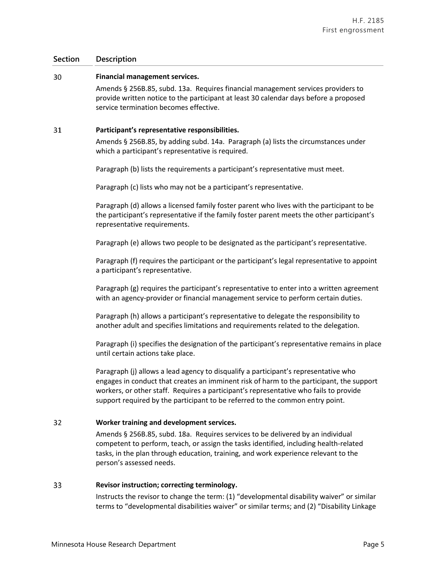#### 30 **Financial management services.**

Amends § 256B.85, subd. 13a. Requires financial management services providers to provide written notice to the participant at least 30 calendar days before a proposed service termination becomes effective.

### 31 **Participant's representative responsibilities.**

Amends § 256B.85, by adding subd. 14a. Paragraph (a) lists the circumstances under which a participant's representative is required.

Paragraph (b) lists the requirements a participant's representative must meet.

Paragraph (c) lists who may not be a participant's representative.

Paragraph (d) allows a licensed family foster parent who lives with the participant to be the participant's representative if the family foster parent meets the other participant's representative requirements.

Paragraph (e) allows two people to be designated as the participant's representative.

Paragraph (f) requires the participant or the participant's legal representative to appoint a participant's representative.

Paragraph (g) requires the participant's representative to enter into a written agreement with an agency-provider or financial management service to perform certain duties.

Paragraph (h) allows a participant's representative to delegate the responsibility to another adult and specifies limitations and requirements related to the delegation.

Paragraph (i) specifies the designation of the participant's representative remains in place until certain actions take place.

Paragraph (j) allows a lead agency to disqualify a participant's representative who engages in conduct that creates an imminent risk of harm to the participant, the support workers, or other staff. Requires a participant's representative who fails to provide support required by the participant to be referred to the common entry point.

# 32 **Worker training and development services.**

Amends § 256B.85, subd. 18a. Requires services to be delivered by an individual competent to perform, teach, or assign the tasks identified, including health-related tasks, in the plan through education, training, and work experience relevant to the person's assessed needs.

# 33 **Revisor instruction; correcting terminology.**

Instructs the revisor to change the term: (1) "developmental disability waiver" or similar terms to "developmental disabilities waiver" or similar terms; and (2) "Disability Linkage